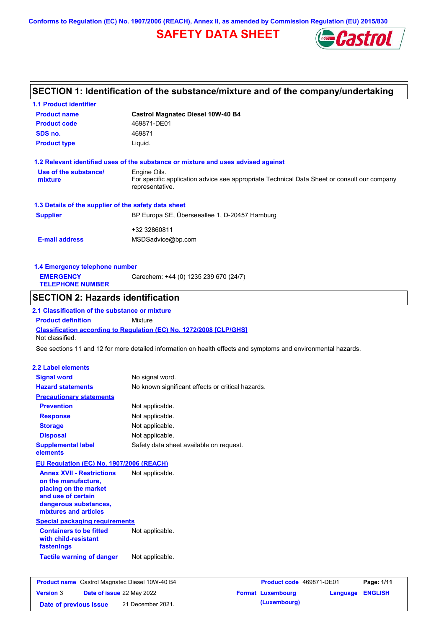**Conforms to Regulation (EC) No. 1907/2006 (REACH), Annex II, as amended by Commission Regulation (EU) 2015/830**

## **SAFETY DATA SHEET**



## **SECTION 1: Identification of the substance/mixture and of the company/undertaking**

| <b>1.1 Product identifier</b>                                                                                                                            |                                                                                                                                |
|----------------------------------------------------------------------------------------------------------------------------------------------------------|--------------------------------------------------------------------------------------------------------------------------------|
| <b>Product name</b>                                                                                                                                      | <b>Castrol Magnatec Diesel 10W-40 B4</b>                                                                                       |
| <b>Product code</b>                                                                                                                                      | 469871-DE01                                                                                                                    |
| SDS no.                                                                                                                                                  | 469871                                                                                                                         |
| <b>Product type</b>                                                                                                                                      | Liquid.                                                                                                                        |
|                                                                                                                                                          | 1.2 Relevant identified uses of the substance or mixture and uses advised against                                              |
| Use of the substance/<br>mixture                                                                                                                         | Engine Oils.<br>For specific application advice see appropriate Technical Data Sheet or consult our company<br>representative. |
| 1.3 Details of the supplier of the safety data sheet                                                                                                     |                                                                                                                                |
| <b>Supplier</b>                                                                                                                                          | BP Europa SE, Überseeallee 1, D-20457 Hamburg                                                                                  |
|                                                                                                                                                          |                                                                                                                                |
| <b>E-mail address</b>                                                                                                                                    | +32 32860811<br>MSDSadvice@bp.com                                                                                              |
| 1.4 Emergency telephone number                                                                                                                           |                                                                                                                                |
| <b>EMERGENCY</b><br><b>TELEPHONE NUMBER</b>                                                                                                              | Carechem: +44 (0) 1235 239 670 (24/7)                                                                                          |
| <b>SECTION 2: Hazards identification</b>                                                                                                                 |                                                                                                                                |
| 2.1 Classification of the substance or mixture                                                                                                           |                                                                                                                                |
| <b>Product definition</b>                                                                                                                                | Mixture                                                                                                                        |
| Not classified.                                                                                                                                          | <b>Classification according to Regulation (EC) No. 1272/2008 [CLP/GHS]</b>                                                     |
|                                                                                                                                                          | See sections 11 and 12 for more detailed information on health effects and symptoms and environmental hazards.                 |
|                                                                                                                                                          |                                                                                                                                |
| <b>2.2 Label elements</b>                                                                                                                                |                                                                                                                                |
| <b>Signal word</b>                                                                                                                                       | No signal word.                                                                                                                |
| <b>Hazard statements</b>                                                                                                                                 | No known significant effects or critical hazards.                                                                              |
| <b>Precautionary statements</b>                                                                                                                          |                                                                                                                                |
| <b>Prevention</b>                                                                                                                                        | Not applicable.                                                                                                                |
| <b>Response</b>                                                                                                                                          | Not applicable.                                                                                                                |
| <b>Storage</b>                                                                                                                                           | Not applicable.                                                                                                                |
| <b>Disposal</b>                                                                                                                                          | Not applicable.                                                                                                                |
| <b>Supplemental label</b><br>elements                                                                                                                    | Safety data sheet available on request.                                                                                        |
| EU Regulation (EC) No. 1907/2006 (REACH)                                                                                                                 |                                                                                                                                |
| <b>Annex XVII - Restrictions</b><br>on the manufacture,<br>placing on the market<br>and use of certain<br>dangerous substances,<br>mixtures and articles | Not applicable.                                                                                                                |
| <b>Special packaging requirements</b>                                                                                                                    |                                                                                                                                |
| <b>Containers to be fitted</b><br>with child-resistant<br>fastenings                                                                                     | Not applicable.                                                                                                                |
| <b>Tactile warning of danger</b>                                                                                                                         | Not applicable.                                                                                                                |
|                                                                                                                                                          |                                                                                                                                |
| <b>Product name</b> Castrol Magnatec Diesel 10W-40 B4                                                                                                    | Product code 469871-DE01<br>Page: 1/11                                                                                         |
| <b>Version 3</b><br>Date of issue 22 May 2022                                                                                                            | <b>Format Luxembourg</b><br>Language<br><b>ENGLISH</b>                                                                         |

**Date of previous issue (Luxembourg)** 21 December 2021.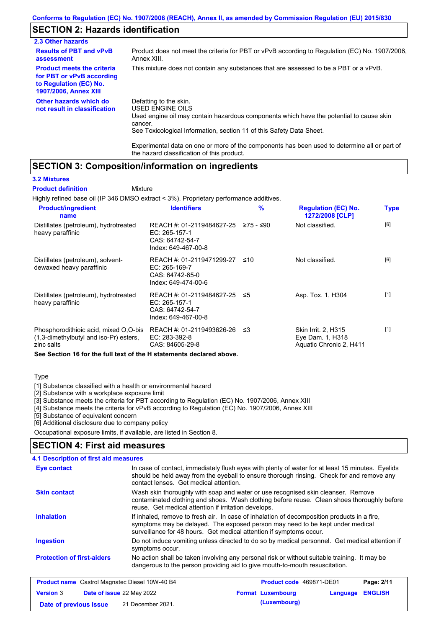## **SECTION 2: Hazards identification**

| 2.3 Other hazards                                                                                                        |                                                                                                                                                                                                                          |
|--------------------------------------------------------------------------------------------------------------------------|--------------------------------------------------------------------------------------------------------------------------------------------------------------------------------------------------------------------------|
| <b>Results of PBT and vPvB</b><br>assessment                                                                             | Product does not meet the criteria for PBT or vPvB according to Regulation (EC) No. 1907/2006,<br>Annex XIII.                                                                                                            |
| <b>Product meets the criteria</b><br>for PBT or vPvB according<br>to Regulation (EC) No.<br><b>1907/2006, Annex XIII</b> | This mixture does not contain any substances that are assessed to be a PBT or a vPvB.                                                                                                                                    |
| Other hazards which do<br>not result in classification                                                                   | Defatting to the skin.<br>USED ENGINE OILS<br>Used engine oil may contain hazardous components which have the potential to cause skin<br>cancer.<br>See Toxicological Information, section 11 of this Safety Data Sheet. |

Experimental data on one or more of the components has been used to determine all or part of the hazard classification of this product.

### **SECTION 3: Composition/information on ingredients**

#### **3.2 Mixtures**

Highly refined base oil (IP 346 DMSO extract < 3%). Proprietary performance additives. **Mixture Product definition**

| <b>Product/ingredient</b><br>name                                                             | <b>Identifiers</b>                                                                                         | %    | <b>Regulation (EC) No.</b><br>1272/2008 [CLP]                      | <b>Type</b> |
|-----------------------------------------------------------------------------------------------|------------------------------------------------------------------------------------------------------------|------|--------------------------------------------------------------------|-------------|
| Distillates (petroleum), hydrotreated<br>heavy paraffinic                                     | REACH #: 01-2119484627-25 $\ge$ 75 - $\le$ 90<br>$EC: 265-157-1$<br>CAS: 64742-54-7<br>Index: 649-467-00-8 |      | Not classified.                                                    | [6]         |
| Distillates (petroleum), solvent-<br>dewaxed heavy paraffinic                                 | REACH #: 01-2119471299-27<br>EC: 265-169-7<br>CAS: 64742-65-0<br>Index: 649-474-00-6                       | ≤10  | Not classified.                                                    | [6]         |
| Distillates (petroleum), hydrotreated<br>heavy paraffinic                                     | REACH #: 01-2119484627-25 ≤5<br>EC: 265-157-1<br>CAS: 64742-54-7<br>Index: 649-467-00-8                    |      | Asp. Tox. 1, H304                                                  | $[1]$       |
| Phosphorodithioic acid, mixed O,O-bis<br>(1,3-dimethylbutyl and iso-Pr) esters,<br>zinc salts | REACH #: 01-2119493626-26<br>EC: 283-392-8<br>CAS: 84605-29-8                                              | ו≥ ≤ | Skin Irrit. 2, H315<br>Eye Dam. 1, H318<br>Aquatic Chronic 2, H411 | $[1]$       |

**See Section 16 for the full text of the H statements declared above.**

### **Type**

[1] Substance classified with a health or environmental hazard

[2] Substance with a workplace exposure limit

[3] Substance meets the criteria for PBT according to Regulation (EC) No. 1907/2006, Annex XIII

[4] Substance meets the criteria for vPvB according to Regulation (EC) No. 1907/2006, Annex XIII

[5] Substance of equivalent concern

[6] Additional disclosure due to company policy

Occupational exposure limits, if available, are listed in Section 8.

### **SECTION 4: First aid measures**

| 4.1 Description of first aid measures                 |                                                                                                                                                                                                                                                     |
|-------------------------------------------------------|-----------------------------------------------------------------------------------------------------------------------------------------------------------------------------------------------------------------------------------------------------|
| Eye contact                                           | In case of contact, immediately flush eyes with plenty of water for at least 15 minutes. Eyelids<br>should be held away from the eyeball to ensure thorough rinsing. Check for and remove any<br>contact lenses. Get medical attention.             |
| <b>Skin contact</b>                                   | Wash skin thoroughly with soap and water or use recognised skin cleanser. Remove<br>contaminated clothing and shoes. Wash clothing before reuse. Clean shoes thoroughly before<br>reuse. Get medical attention if irritation develops.              |
| <b>Inhalation</b>                                     | If inhaled, remove to fresh air. In case of inhalation of decomposition products in a fire,<br>symptoms may be delayed. The exposed person may need to be kept under medical<br>surveillance for 48 hours. Get medical attention if symptoms occur. |
| <b>Ingestion</b>                                      | Do not induce vomiting unless directed to do so by medical personnel. Get medical attention if<br>symptoms occur.                                                                                                                                   |
| <b>Protection of first-aiders</b>                     | No action shall be taken involving any personal risk or without suitable training. It may be<br>dangerous to the person providing aid to give mouth-to-mouth resuscitation.                                                                         |
| <b>Product name</b> Castrol Magnatec Diesel 10W-40 B4 | Page: 2/11<br><b>Product code</b> 469871-DE01                                                                                                                                                                                                       |

|                        | <b>Product name</b> Castrol Magnatec Diesel 10W-40 B4 | <b>Product code</b> 4698/1-DE01 |                  | Page: 2/11 |
|------------------------|-------------------------------------------------------|---------------------------------|------------------|------------|
| <b>Version 3</b>       | <b>Date of issue 22 May 2022</b>                      | <b>Format Luxembourg</b>        | Language ENGLISH |            |
| Date of previous issue | 21 December 2021.                                     | (Luxembourg)                    |                  |            |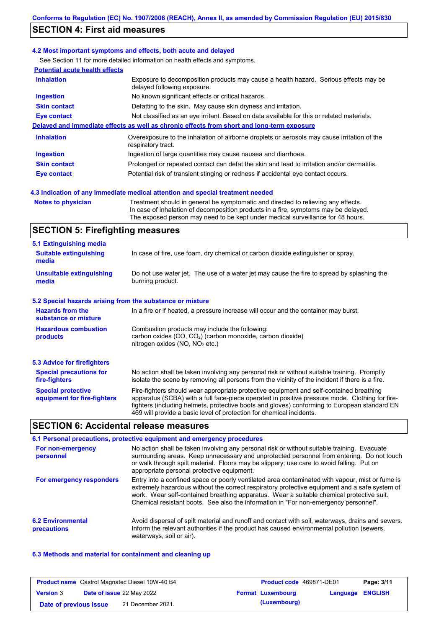### **SECTION 4: First aid measures**

### **4.2 Most important symptoms and effects, both acute and delayed**

See Section 11 for more detailed information on health effects and symptoms.

| <b>Potential acute health effects</b> |                                                                                                                     |
|---------------------------------------|---------------------------------------------------------------------------------------------------------------------|
| <b>Inhalation</b>                     | Exposure to decomposition products may cause a health hazard. Serious effects may be<br>delayed following exposure. |
| <b>Ingestion</b>                      | No known significant effects or critical hazards.                                                                   |
| <b>Skin contact</b>                   | Defatting to the skin. May cause skin dryness and irritation.                                                       |
| Eye contact                           | Not classified as an eye irritant. Based on data available for this or related materials.                           |
|                                       | Delayed and immediate effects as well as chronic effects from short and long-term exposure                          |
| <b>Inhalation</b>                     | Overexposure to the inhalation of airborne droplets or aerosols may cause irritation of the<br>respiratory tract.   |
| <b>Ingestion</b>                      | Ingestion of large quantities may cause nausea and diarrhoea.                                                       |
| <b>Skin contact</b>                   | Prolonged or repeated contact can defat the skin and lead to irritation and/or dermatitis.                          |
| Eye contact                           | Potential risk of transient stinging or redness if accidental eye contact occurs.                                   |
|                                       |                                                                                                                     |

### **4.3 Indication of any immediate medical attention and special treatment needed**

```
Notes to physician Treatment should in general be symptomatic and directed to relieving any effects.
                   In case of inhalation of decomposition products in a fire, symptoms may be delayed.
                   The exposed person may need to be kept under medical surveillance for 48 hours.
```
### **SECTION 5: Firefighting measures**

| 5.1 Extinguishing media                                                                                                                |                                                                                                                                                                                                |  |
|----------------------------------------------------------------------------------------------------------------------------------------|------------------------------------------------------------------------------------------------------------------------------------------------------------------------------------------------|--|
| <b>Suitable extinguishing</b><br>media                                                                                                 | In case of fire, use foam, dry chemical or carbon dioxide extinguisher or spray.                                                                                                               |  |
| <b>Unsuitable extinguishing</b><br>media                                                                                               | Do not use water jet. The use of a water jet may cause the fire to spread by splashing the<br>burning product.                                                                                 |  |
| 5.2 Special hazards arising from the substance or mixture                                                                              |                                                                                                                                                                                                |  |
| <b>Hazards from the</b><br>In a fire or if heated, a pressure increase will occur and the container may burst.<br>substance or mixture |                                                                                                                                                                                                |  |
| <b>Hazardous combustion</b><br>products                                                                                                | Combustion products may include the following:<br>carbon oxides $(CO, CO2)$ (carbon monoxide, carbon dioxide)<br>nitrogen oxides ( $NO$ , $NO2$ etc.)                                          |  |
| 5.3 Advice for firefighters                                                                                                            |                                                                                                                                                                                                |  |
| <b>Special precautions for</b><br>fire-fighters                                                                                        | No action shall be taken involving any personal risk or without suitable training. Promptly<br>isolate the scene by removing all persons from the vicinity of the incident if there is a fire. |  |
| <b>Special protective</b>                                                                                                              | Fire-fighters should wear appropriate protective equipment and self-contained breathing                                                                                                        |  |

## **SECTION 6: Accidental release measures**

**equipment for fire-fighters**

|                                         | 6.1 Personal precautions, protective equipment and emergency procedures                                                                                                                                                                                                                                                                                                              |
|-----------------------------------------|--------------------------------------------------------------------------------------------------------------------------------------------------------------------------------------------------------------------------------------------------------------------------------------------------------------------------------------------------------------------------------------|
| For non-emergency<br>personnel          | No action shall be taken involving any personal risk or without suitable training. Evacuate<br>surrounding areas. Keep unnecessary and unprotected personnel from entering. Do not touch<br>or walk through spilt material. Floors may be slippery; use care to avoid falling. Put on<br>appropriate personal protective equipment.                                                  |
| For emergency responders                | Entry into a confined space or poorly ventilated area contaminated with vapour, mist or fume is<br>extremely hazardous without the correct respiratory protective equipment and a safe system of<br>work. Wear self-contained breathing apparatus. Wear a suitable chemical protective suit.<br>Chemical resistant boots. See also the information in "For non-emergency personnel". |
| <b>6.2 Environmental</b><br>precautions | Avoid dispersal of spilt material and runoff and contact with soil, waterways, drains and sewers.<br>Inform the relevant authorities if the product has caused environmental pollution (sewers,<br>waterways, soil or air).                                                                                                                                                          |

469 will provide a basic level of protection for chemical incidents.

apparatus (SCBA) with a full face-piece operated in positive pressure mode. Clothing for firefighters (including helmets, protective boots and gloves) conforming to European standard EN

### **6.3 Methods and material for containment and cleaning up**

|                        | <b>Product name</b> Castrol Magnatec Diesel 10W-40 B4 | <b>Product code</b> 469871-DE01 |                         | Page: 3/11 |
|------------------------|-------------------------------------------------------|---------------------------------|-------------------------|------------|
| <b>Version 3</b>       | <b>Date of issue 22 May 2022</b>                      | <b>Format Luxembourg</b>        | <b>Language ENGLISH</b> |            |
| Date of previous issue | 21 December 2021.                                     | (Luxembourg)                    |                         |            |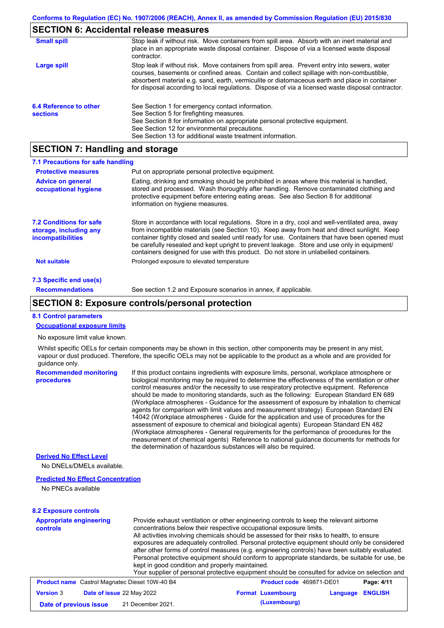### **SECTION 6: Accidental release measures**

| <b>Small spill</b>                        | Stop leak if without risk. Move containers from spill area. Absorb with an inert material and<br>place in an appropriate waste disposal container. Dispose of via a licensed waste disposal<br>contractor.                                                                                                                                                                                     |
|-------------------------------------------|------------------------------------------------------------------------------------------------------------------------------------------------------------------------------------------------------------------------------------------------------------------------------------------------------------------------------------------------------------------------------------------------|
| Large spill                               | Stop leak if without risk. Move containers from spill area. Prevent entry into sewers, water<br>courses, basements or confined areas. Contain and collect spillage with non-combustible,<br>absorbent material e.g. sand, earth, vermiculite or diatomaceous earth and place in container<br>for disposal according to local regulations. Dispose of via a licensed waste disposal contractor. |
| 6.4 Reference to other<br><b>sections</b> | See Section 1 for emergency contact information.<br>See Section 5 for firefighting measures.<br>See Section 8 for information on appropriate personal protective equipment.<br>See Section 12 for environmental precautions.<br>See Section 13 for additional waste treatment information.                                                                                                     |

### **SECTION 7: Handling and storage**

| 7.1 Precautions for safe handling                                                    |                                                                                                                                                                                                                                                                                                                                                                                                                                                                                          |
|--------------------------------------------------------------------------------------|------------------------------------------------------------------------------------------------------------------------------------------------------------------------------------------------------------------------------------------------------------------------------------------------------------------------------------------------------------------------------------------------------------------------------------------------------------------------------------------|
| <b>Protective measures</b>                                                           | Put on appropriate personal protective equipment.                                                                                                                                                                                                                                                                                                                                                                                                                                        |
| <b>Advice on general</b><br>occupational hygiene                                     | Eating, drinking and smoking should be prohibited in areas where this material is handled,<br>stored and processed. Wash thoroughly after handling. Remove contaminated clothing and<br>protective equipment before entering eating areas. See also Section 8 for additional<br>information on hygiene measures.                                                                                                                                                                         |
| <b>7.2 Conditions for safe</b><br>storage, including any<br><i>incompatibilities</i> | Store in accordance with local regulations. Store in a dry, cool and well-ventilated area, away<br>from incompatible materials (see Section 10). Keep away from heat and direct sunlight. Keep<br>container tightly closed and sealed until ready for use. Containers that have been opened must<br>be carefully resealed and kept upright to prevent leakage. Store and use only in equipment/<br>containers designed for use with this product. Do not store in unlabelled containers. |
| <b>Not suitable</b>                                                                  | Prolonged exposure to elevated temperature                                                                                                                                                                                                                                                                                                                                                                                                                                               |
| 7.3 Specific end use(s)                                                              |                                                                                                                                                                                                                                                                                                                                                                                                                                                                                          |
| <b>Recommendations</b>                                                               | See section 1.2 and Exposure scenarios in annex, if applicable.                                                                                                                                                                                                                                                                                                                                                                                                                          |

### **SECTION 8: Exposure controls/personal protection**

#### **8.1 Control parameters**

### **Occupational exposure limits**

No exposure limit value known.

Whilst specific OELs for certain components may be shown in this section, other components may be present in any mist, vapour or dust produced. Therefore, the specific OELs may not be applicable to the product as a whole and are provided for guidance only.

| <b>Recommended monitoring</b> | If this product contains ingredients with exposure limits, personal, workplace atmosphere or     |
|-------------------------------|--------------------------------------------------------------------------------------------------|
| <b>procedures</b>             | biological monitoring may be required to determine the effectiveness of the ventilation or other |
|                               | control measures and/or the necessity to use respiratory protective equipment. Reference         |
|                               | should be made to monitoring standards, such as the following: European Standard EN 689          |
|                               | (Workplace atmospheres - Guidance for the assessment of exposure by inhalation to chemical       |
|                               | agents for comparison with limit values and measurement strategy) European Standard EN           |
|                               | 14042 (Workplace atmospheres - Guide for the application and use of procedures for the           |
|                               | assessment of exposure to chemical and biological agents) European Standard EN 482               |
|                               | (Workplace atmospheres - General requirements for the performance of procedures for the          |
|                               | measurement of chemical agents) Reference to national quidance documents for methods for         |
|                               | the determination of hazardous substances will also be required.                                 |

#### **Derived No Effect Level**

No DNELs/DMELs available.

#### **Predicted No Effect Concentration**

No PNECs available

### **8.2 Exposure controls**

**Appropriate engineering controls** Provide exhaust ventilation or other engineering controls to keep the relevant airborne concentrations below their respective occupational exposure limits. All activities involving chemicals should be assessed for their risks to health, to ensure exposures are adequately controlled. Personal protective equipment should only be considered after other forms of control measures (e.g. engineering controls) have been suitably evaluated. Personal protective equipment should conform to appropriate standards, be suitable for use, be kept in good condition and properly maintained. Your supplier of personal protective equipment should be consulted for advice on selection and **Product name** Castrol Magnatec Diesel 10W-40 B4 **Product Code 469871-DE01 Page: 4/11 Version** 3 **Date of issue** 22 May 2022 **Format Luxembourg Language ENGLISH**

**Date of previous issue (Luxembourg)** 21 December 2021.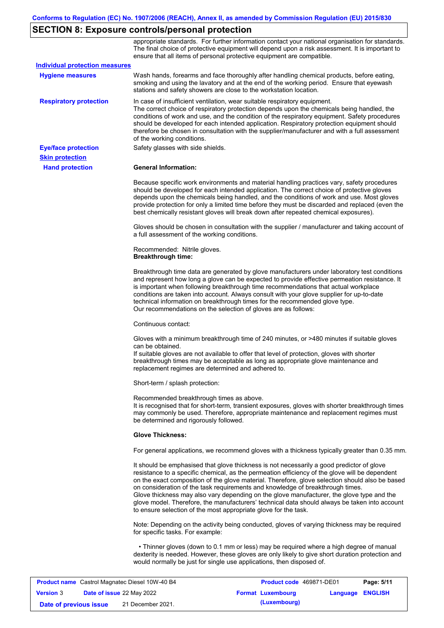# **SECTION 8: Exposure controls/personal protection**

|                                       | appropriate standards. For further information contact your national organisation for standards.<br>The final choice of protective equipment will depend upon a risk assessment. It is important to<br>ensure that all items of personal protective equipment are compatible.                                                                                                                                                                                                                                                                                                                                                                     |
|---------------------------------------|---------------------------------------------------------------------------------------------------------------------------------------------------------------------------------------------------------------------------------------------------------------------------------------------------------------------------------------------------------------------------------------------------------------------------------------------------------------------------------------------------------------------------------------------------------------------------------------------------------------------------------------------------|
| <b>Individual protection measures</b> |                                                                                                                                                                                                                                                                                                                                                                                                                                                                                                                                                                                                                                                   |
| <b>Hygiene measures</b>               | Wash hands, forearms and face thoroughly after handling chemical products, before eating,<br>smoking and using the lavatory and at the end of the working period. Ensure that eyewash<br>stations and safety showers are close to the workstation location.                                                                                                                                                                                                                                                                                                                                                                                       |
| <b>Respiratory protection</b>         | In case of insufficient ventilation, wear suitable respiratory equipment.<br>The correct choice of respiratory protection depends upon the chemicals being handled, the<br>conditions of work and use, and the condition of the respiratory equipment. Safety procedures<br>should be developed for each intended application. Respiratory protection equipment should<br>therefore be chosen in consultation with the supplier/manufacturer and with a full assessment<br>of the working conditions.                                                                                                                                             |
| <b>Eye/face protection</b>            | Safety glasses with side shields.                                                                                                                                                                                                                                                                                                                                                                                                                                                                                                                                                                                                                 |
| <b>Skin protection</b>                |                                                                                                                                                                                                                                                                                                                                                                                                                                                                                                                                                                                                                                                   |
| <b>Hand protection</b>                | <b>General Information:</b>                                                                                                                                                                                                                                                                                                                                                                                                                                                                                                                                                                                                                       |
|                                       | Because specific work environments and material handling practices vary, safety procedures<br>should be developed for each intended application. The correct choice of protective gloves<br>depends upon the chemicals being handled, and the conditions of work and use. Most gloves<br>provide protection for only a limited time before they must be discarded and replaced (even the<br>best chemically resistant gloves will break down after repeated chemical exposures).                                                                                                                                                                  |
|                                       | Gloves should be chosen in consultation with the supplier / manufacturer and taking account of<br>a full assessment of the working conditions.                                                                                                                                                                                                                                                                                                                                                                                                                                                                                                    |
|                                       | Recommended: Nitrile gloves.<br><b>Breakthrough time:</b>                                                                                                                                                                                                                                                                                                                                                                                                                                                                                                                                                                                         |
|                                       | Breakthrough time data are generated by glove manufacturers under laboratory test conditions<br>and represent how long a glove can be expected to provide effective permeation resistance. It<br>is important when following breakthrough time recommendations that actual workplace<br>conditions are taken into account. Always consult with your glove supplier for up-to-date<br>technical information on breakthrough times for the recommended glove type.<br>Our recommendations on the selection of gloves are as follows:                                                                                                                |
|                                       | Continuous contact:                                                                                                                                                                                                                                                                                                                                                                                                                                                                                                                                                                                                                               |
|                                       | Gloves with a minimum breakthrough time of 240 minutes, or >480 minutes if suitable gloves<br>can be obtained.<br>If suitable gloves are not available to offer that level of protection, gloves with shorter<br>breakthrough times may be acceptable as long as appropriate glove maintenance and<br>replacement regimes are determined and adhered to.                                                                                                                                                                                                                                                                                          |
|                                       | Short-term / splash protection:                                                                                                                                                                                                                                                                                                                                                                                                                                                                                                                                                                                                                   |
|                                       | Recommended breakthrough times as above.<br>It is recognised that for short-term, transient exposures, gloves with shorter breakthrough times<br>may commonly be used. Therefore, appropriate maintenance and replacement regimes must<br>be determined and rigorously followed.                                                                                                                                                                                                                                                                                                                                                                  |
|                                       | <b>Glove Thickness:</b>                                                                                                                                                                                                                                                                                                                                                                                                                                                                                                                                                                                                                           |
|                                       | For general applications, we recommend gloves with a thickness typically greater than 0.35 mm.                                                                                                                                                                                                                                                                                                                                                                                                                                                                                                                                                    |
|                                       | It should be emphasised that glove thickness is not necessarily a good predictor of glove<br>resistance to a specific chemical, as the permeation efficiency of the glove will be dependent<br>on the exact composition of the glove material. Therefore, glove selection should also be based<br>on consideration of the task requirements and knowledge of breakthrough times.<br>Glove thickness may also vary depending on the glove manufacturer, the glove type and the<br>glove model. Therefore, the manufacturers' technical data should always be taken into account<br>to ensure selection of the most appropriate glove for the task. |
|                                       | Note: Depending on the activity being conducted, gloves of varying thickness may be required<br>for specific tasks. For example:                                                                                                                                                                                                                                                                                                                                                                                                                                                                                                                  |
|                                       | • Thinner gloves (down to 0.1 mm or less) may be required where a high degree of manual<br>dexterity is needed. However, these gloves are only likely to give short duration protection and<br>would normally be just for single use applications, then disposed of.                                                                                                                                                                                                                                                                                                                                                                              |

|                        | <b>Product name</b> Castrol Magnatec Diesel 10W-40 B4 | Product code 469871-DE01 |                         | Page: 5/11 |
|------------------------|-------------------------------------------------------|--------------------------|-------------------------|------------|
| <b>Version 3</b>       | <b>Date of issue 22 May 2022</b>                      | <b>Format Luxembourg</b> | <b>Language ENGLISH</b> |            |
| Date of previous issue | 21 December 2021.                                     | (Luxembourg)             |                         |            |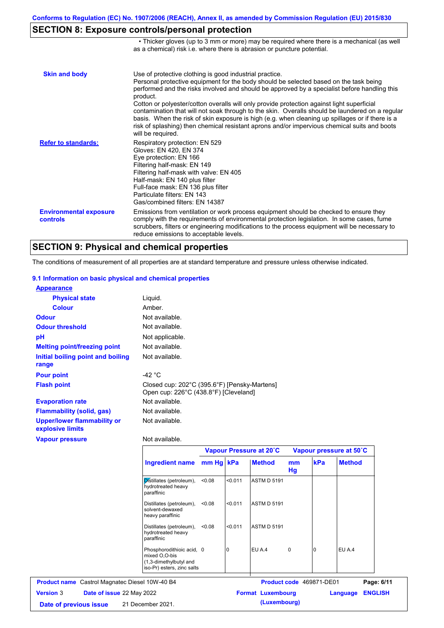• Thicker gloves (up to 3 mm or more) may be required where there is a mechanical (as well

## **SECTION 8: Exposure controls/personal protection**

|                                           | as a chemical) risk i.e. where there is abrasion or puncture potential.                                                                                                                                                                                                                                                                                                                                                                                                                                                                                                                                                                                                               |
|-------------------------------------------|---------------------------------------------------------------------------------------------------------------------------------------------------------------------------------------------------------------------------------------------------------------------------------------------------------------------------------------------------------------------------------------------------------------------------------------------------------------------------------------------------------------------------------------------------------------------------------------------------------------------------------------------------------------------------------------|
| <b>Skin and body</b>                      | Use of protective clothing is good industrial practice.<br>Personal protective equipment for the body should be selected based on the task being<br>performed and the risks involved and should be approved by a specialist before handling this<br>product.<br>Cotton or polyester/cotton overalls will only provide protection against light superficial<br>contamination that will not soak through to the skin. Overalls should be laundered on a regular<br>basis. When the risk of skin exposure is high (e.g. when cleaning up spillages or if there is a<br>risk of splashing) then chemical resistant aprons and/or impervious chemical suits and boots<br>will be required. |
| <b>Refer to standards:</b>                | Respiratory protection: EN 529<br>Gloves: EN 420, EN 374<br>Eye protection: EN 166<br>Filtering half-mask: EN 149<br>Filtering half-mask with valve: EN 405<br>Half-mask: EN 140 plus filter<br>Full-face mask: EN 136 plus filter<br>Particulate filters: EN 143<br>Gas/combined filters: EN 14387                                                                                                                                                                                                                                                                                                                                                                                   |
| <b>Environmental exposure</b><br>controls | Emissions from ventilation or work process equipment should be checked to ensure they<br>comply with the requirements of environmental protection legislation. In some cases, fume<br>scrubbers, filters or engineering modifications to the process equipment will be necessary to<br>reduce emissions to acceptable levels.                                                                                                                                                                                                                                                                                                                                                         |

### **SECTION 9: Physical and chemical properties**

The conditions of measurement of all properties are at standard temperature and pressure unless otherwise indicated.

### **9.1 Information on basic physical and chemical properties**

| <b>Appearance</b>                                      |                                                                                       |
|--------------------------------------------------------|---------------------------------------------------------------------------------------|
| <b>Physical state</b>                                  | Liquid.                                                                               |
| <b>Colour</b>                                          | Amber.                                                                                |
| <b>Odour</b>                                           | Not available.                                                                        |
| <b>Odour threshold</b>                                 | Not available.                                                                        |
| рH                                                     | Not applicable.                                                                       |
| <b>Melting point/freezing point</b>                    | Not available.                                                                        |
| Initial boiling point and boiling<br>range             | Not available.                                                                        |
| <b>Pour point</b>                                      | $-42 °C$                                                                              |
| <b>Flash point</b>                                     | Closed cup: 202°C (395.6°F) [Pensky-Martens]<br>Open cup: 226°C (438.8°F) [Cleveland] |
| <b>Evaporation rate</b>                                | Not available.                                                                        |
| Flammability (solid, gas)                              | Not available.                                                                        |
| <b>Upper/lower flammability or</b><br>explosive limits | Not available.                                                                        |
| <b>Vapour pressure</b>                                 | Not available.                                                                        |

Г

|                                                       | <b>Ingredient name</b><br>Distillates (petroleum),<br>hydrotreated heavy<br>paraffinic             | Vapour Pressure at 20°C |         | Vapour pressure at 50°C  |          |                                 |                    |                |  |  |  |
|-------------------------------------------------------|----------------------------------------------------------------------------------------------------|-------------------------|---------|--------------------------|----------|---------------------------------|--------------------|----------------|--|--|--|
|                                                       |                                                                                                    | mm Hg kPa               |         | <b>Method</b>            | mm<br>Hg | kPa                             | <b>Method</b>      |                |  |  |  |
|                                                       |                                                                                                    | < 0.08                  | < 0.011 | <b>ASTM D 5191</b>       |          |                                 |                    |                |  |  |  |
|                                                       | Distillates (petroleum),<br>solvent-dewaxed<br>heavy paraffinic                                    | < 0.08                  | < 0.011 | <b>ASTM D 5191</b>       |          |                                 |                    |                |  |  |  |
|                                                       | Distillates (petroleum),<br>hydrotreated heavy<br>paraffinic                                       |                         |         |                          | < 0.08   | < 0.011                         | <b>ASTM D 5191</b> |                |  |  |  |
|                                                       | Phosphorodithioic acid, 0<br>mixed O,O-bis<br>(1,3-dimethylbutyl and<br>iso-Pr) esters, zinc salts |                         | 10      | EU A.4                   | 0        | C                               | EU A.4             |                |  |  |  |
| <b>Product name</b> Castrol Magnatec Diesel 10W-40 B4 |                                                                                                    |                         |         |                          |          | <b>Product code</b> 469871-DE01 |                    | Page: 6/11     |  |  |  |
| <b>Version 3</b><br>Date of issue 22 May 2022         |                                                                                                    |                         |         | <b>Format Luxembourg</b> |          |                                 | Language           | <b>ENGLISH</b> |  |  |  |
| Date of previous issue                                | 21 December 2021.                                                                                  |                         |         | (Luxembourg)             |          |                                 |                    |                |  |  |  |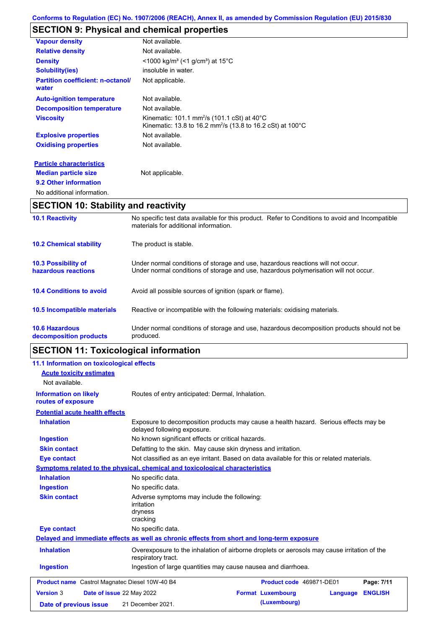## **SECTION 9: Physical and chemical properties**

| <b>Vapour density</b>                             | Not available.                                                                                                                                         |
|---------------------------------------------------|--------------------------------------------------------------------------------------------------------------------------------------------------------|
| <b>Relative density</b>                           | Not available.                                                                                                                                         |
| <b>Density</b>                                    | $\leq$ 1000 kg/m <sup>3</sup> (<1 g/cm <sup>3</sup> ) at 15 <sup>°</sup> C                                                                             |
| <b>Solubility(ies)</b>                            | insoluble in water.                                                                                                                                    |
| <b>Partition coefficient: n-octanol/</b><br>water | Not applicable.                                                                                                                                        |
| <b>Auto-ignition temperature</b>                  | Not available.                                                                                                                                         |
| <b>Decomposition temperature</b>                  | Not available.                                                                                                                                         |
| <b>Viscosity</b>                                  | Kinematic: 101.1 mm <sup>2</sup> /s (101.1 cSt) at $40^{\circ}$ C<br>Kinematic: 13.8 to 16.2 mm <sup>2</sup> /s (13.8 to 16.2 cSt) at 100 $^{\circ}$ C |
| <b>Explosive properties</b>                       | Not available.                                                                                                                                         |
| <b>Oxidising properties</b>                       | Not available.                                                                                                                                         |
| <b>Particle characteristics</b>                   |                                                                                                                                                        |
| <b>Median particle size</b>                       | Not applicable.                                                                                                                                        |
| 9.2 Other information                             |                                                                                                                                                        |

```
No additional information.
```
## **SECTION 10: Stability and reactivity**

| <b>APAPIALL 11</b>                                |                                                                                                                                                                         |
|---------------------------------------------------|-------------------------------------------------------------------------------------------------------------------------------------------------------------------------|
| <b>10.6 Hazardous</b><br>decomposition products   | Under normal conditions of storage and use, hazardous decomposition products should not be<br>produced.                                                                 |
| 10.5 Incompatible materials                       | Reactive or incompatible with the following materials: oxidising materials.                                                                                             |
| <b>10.4 Conditions to avoid</b>                   | Avoid all possible sources of ignition (spark or flame).                                                                                                                |
| <b>10.3 Possibility of</b><br>hazardous reactions | Under normal conditions of storage and use, hazardous reactions will not occur.<br>Under normal conditions of storage and use, hazardous polymerisation will not occur. |
| <b>10.2 Chemical stability</b>                    | The product is stable.                                                                                                                                                  |
| <b>10.1 Reactivity</b>                            | No specific test data available for this product. Refer to Conditions to avoid and Incompatible<br>materials for additional information.                                |

# **SECTION 11: Toxicological information**

| 11.1 Information on toxicological effects             |                                                                                                                     |  |
|-------------------------------------------------------|---------------------------------------------------------------------------------------------------------------------|--|
| <b>Acute toxicity estimates</b>                       |                                                                                                                     |  |
| Not available.                                        |                                                                                                                     |  |
| <b>Information on likely</b><br>routes of exposure    | Routes of entry anticipated: Dermal, Inhalation.                                                                    |  |
| <b>Potential acute health effects</b>                 |                                                                                                                     |  |
|                                                       |                                                                                                                     |  |
| <b>Inhalation</b>                                     | Exposure to decomposition products may cause a health hazard. Serious effects may be<br>delayed following exposure. |  |
| <b>Ingestion</b>                                      | No known significant effects or critical hazards.                                                                   |  |
| <b>Skin contact</b>                                   | Defatting to the skin. May cause skin dryness and irritation.                                                       |  |
| <b>Eye contact</b>                                    | Not classified as an eye irritant. Based on data available for this or related materials.                           |  |
|                                                       | <b>Symptoms related to the physical, chemical and toxicological characteristics</b>                                 |  |
| <b>Inhalation</b>                                     | No specific data.                                                                                                   |  |
| <b>Ingestion</b>                                      | No specific data.                                                                                                   |  |
| <b>Skin contact</b>                                   | Adverse symptoms may include the following:<br><i>irritation</i><br>dryness<br>cracking                             |  |
| <b>Eye contact</b>                                    | No specific data.                                                                                                   |  |
|                                                       | Delayed and immediate effects as well as chronic effects from short and long-term exposure                          |  |
| <b>Inhalation</b>                                     | Overexposure to the inhalation of airborne droplets or aerosols may cause irritation of the<br>respiratory tract.   |  |
| <b>Ingestion</b>                                      | Ingestion of large quantities may cause nausea and diarrhoea.                                                       |  |
| <b>Product name</b> Castrol Magnatec Diesel 10W-40 B4 | Page: 7/11<br>Product code 469871-DE01                                                                              |  |
| <b>Version 3</b><br>Date of issue 22 May 2022         | <b>Format Luxembourg</b><br><b>ENGLISH</b><br>Language                                                              |  |
| Date of previous issue                                | (Luxembourg)<br>21 December 2021.                                                                                   |  |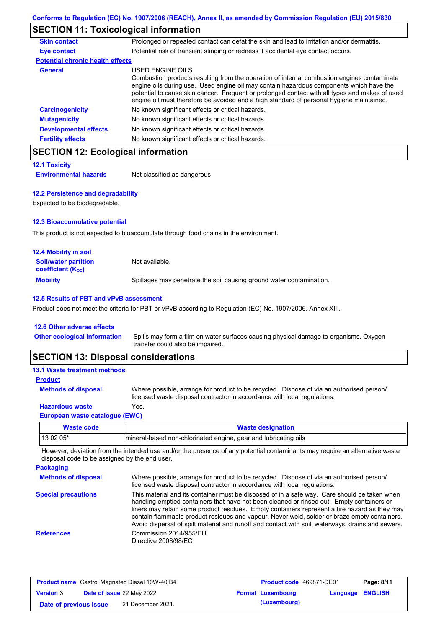## **SECTION 11: Toxicological information**

| <b>Skin contact</b>                     | Prolonged or repeated contact can defat the skin and lead to irritation and/or dermatitis.                                                                                                                                                                                                                                                                                                               |
|-----------------------------------------|----------------------------------------------------------------------------------------------------------------------------------------------------------------------------------------------------------------------------------------------------------------------------------------------------------------------------------------------------------------------------------------------------------|
| Eye contact                             | Potential risk of transient stinging or redness if accidental eye contact occurs.                                                                                                                                                                                                                                                                                                                        |
| <b>Potential chronic health effects</b> |                                                                                                                                                                                                                                                                                                                                                                                                          |
| <b>General</b>                          | USED ENGINE OILS<br>Combustion products resulting from the operation of internal combustion engines contaminate<br>engine oils during use. Used engine oil may contain hazardous components which have the<br>potential to cause skin cancer. Frequent or prolonged contact with all types and makes of used<br>engine oil must therefore be avoided and a high standard of personal hygiene maintained. |
| <b>Carcinogenicity</b>                  | No known significant effects or critical hazards.                                                                                                                                                                                                                                                                                                                                                        |
| <b>Mutagenicity</b>                     | No known significant effects or critical hazards.                                                                                                                                                                                                                                                                                                                                                        |
| <b>Developmental effects</b>            | No known significant effects or critical hazards.                                                                                                                                                                                                                                                                                                                                                        |
| <b>Fertility effects</b>                | No known significant effects or critical hazards.                                                                                                                                                                                                                                                                                                                                                        |
|                                         |                                                                                                                                                                                                                                                                                                                                                                                                          |

### **SECTION 12: Ecological information**

```
12.1 Toxicity
```
**Environmental hazards** Not classified as dangerous

### **12.2 Persistence and degradability**

Expected to be biodegradable.

### **12.3 Bioaccumulative potential**

This product is not expected to bioaccumulate through food chains in the environment.

| <b>12.4 Mobility in soil</b>                                  |                                                                      |
|---------------------------------------------------------------|----------------------------------------------------------------------|
| <b>Soil/water partition</b><br>coefficient (K <sub>oc</sub> ) | Not available.                                                       |
| <b>Mobility</b>                                               | Spillages may penetrate the soil causing ground water contamination. |

### **12.5 Results of PBT and vPvB assessment**

Product does not meet the criteria for PBT or vPvB according to Regulation (EC) No. 1907/2006, Annex XIII.

### **12.6 Other adverse effects**

Spills may form a film on water surfaces causing physical damage to organisms. Oxygen transfer could also be impaired. **Other ecological information**

## **SECTION 13: Disposal considerations**

#### **13.1 Waste treatment methods**

**Methods of disposal**

**Product**

Where possible, arrange for product to be recycled. Dispose of via an authorised person/ licensed waste disposal contractor in accordance with local regulations.

### **Hazardous waste** Yes.

### **European waste catalogue (EWC)**

| Waste code  | <b>Waste designation</b>                                        |
|-------------|-----------------------------------------------------------------|
| l 13 02 05* | mineral-based non-chlorinated engine, gear and lubricating oils |

However, deviation from the intended use and/or the presence of any potential contaminants may require an alternative waste disposal code to be assigned by the end user.

| <b>Packaging</b>           |                                                                                                                                                                                                                                                                                                                                                                                                                                                                                                 |
|----------------------------|-------------------------------------------------------------------------------------------------------------------------------------------------------------------------------------------------------------------------------------------------------------------------------------------------------------------------------------------------------------------------------------------------------------------------------------------------------------------------------------------------|
| <b>Methods of disposal</b> | Where possible, arrange for product to be recycled. Dispose of via an authorised person/<br>licensed waste disposal contractor in accordance with local regulations.                                                                                                                                                                                                                                                                                                                            |
| <b>Special precautions</b> | This material and its container must be disposed of in a safe way. Care should be taken when<br>handling emptied containers that have not been cleaned or rinsed out. Empty containers or<br>liners may retain some product residues. Empty containers represent a fire hazard as they may<br>contain flammable product residues and vapour. Never weld, solder or braze empty containers.<br>Avoid dispersal of spilt material and runoff and contact with soil, waterways, drains and sewers. |
| <b>References</b>          | Commission 2014/955/EU<br>Directive 2008/98/EC                                                                                                                                                                                                                                                                                                                                                                                                                                                  |

| <b>Product name</b> Castrol Magnatec Diesel 10W-40 B4 |                           |                   | <b>Product code</b> 469871-DE01 |                         | Page: 8/11 |
|-------------------------------------------------------|---------------------------|-------------------|---------------------------------|-------------------------|------------|
| <b>Version 3</b>                                      | Date of issue 22 May 2022 |                   | <b>Format Luxembourg</b>        | <b>Language ENGLISH</b> |            |
| Date of previous issue                                |                           | 21 December 2021. | (Luxembourg)                    |                         |            |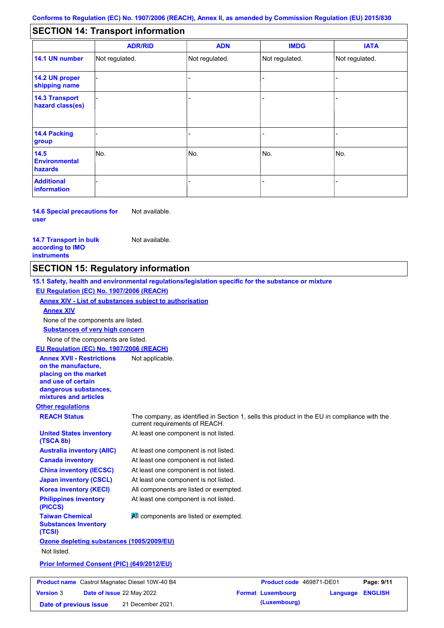#### - - - - - - - - - Not regulated. Not regulated. Not regulated. - - - **SECTION 14: Transport information ADR/RID IMDG IATA 14.1 UN number 14.2 UN proper shipping name 14.3 Transport hazard class(es) 14.4 Packing group ADN Additional information 14.5 Environmental hazards** No. 1980 | No. 1980 | No. 1980 | No. 1980 | No. 1980 | No. 1980 | No. 1980 | No. 1980 | No. 1980 | No. 1980 | Not regulated. - -<br>No. - -

**14.6 Special precautions for user** Not available.

#### **14.7 Transport in bulk according to IMO instruments**

**Version** 3

Not available.

## **SECTION 15: Regulatory information**

**Other regulations REACH Status** The company, as identified in Section 1, sells this product in the EU in compliance with the current requirements of REACH. **15.1 Safety, health and environmental regulations/legislation specific for the substance or mixture EU Regulation (EC) No. 1907/2006 (REACH) Annex XIV - List of substances subject to authorisation Substances of very high concern** None of the components are listed. At least one component is not listed. At least one component is not listed. At least one component is not listed. At least one component is not listed. At least one component is not listed. All components are listed or exempted. At least one component is not listed. **United States inventory (TSCA 8b) Australia inventory (AIIC) Canada inventory China inventory (IECSC) Japan inventory (CSCL) Korea inventory (KECI) Philippines inventory (PICCS) Taiwan Chemical Substances Inventory (TCSI) All components are listed or exempted. Ozone depleting substances (1005/2009/EU)** Not listed. **Prior Informed Consent (PIC) (649/2012/EU)** None of the components are listed. **Annex XIV EU Regulation (EC) No. 1907/2006 (REACH) Annex XVII - Restrictions on the manufacture, placing on the market and use of certain dangerous substances, mixtures and articles** Not applicable. **Product name** Castrol Magnatec Diesel 10W-40 B4 **Product Code 469871-DE01 Page: 9/11** 

**Date of issue** 22 May 2022 **Format Luxembourg Language ENGLISH Date of previous issue (Luxembourg)** 21 December 2021.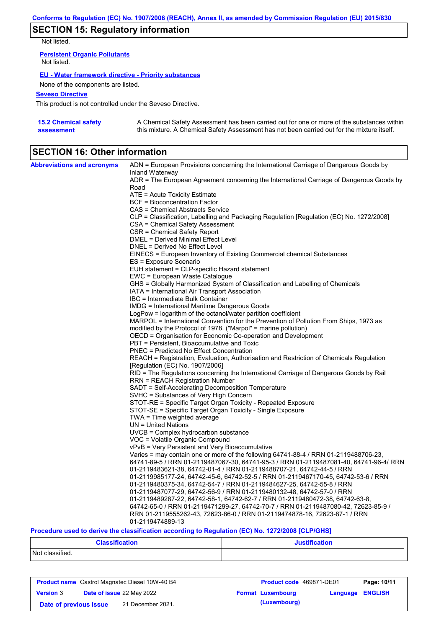## **SECTION 15: Regulatory information**

Not listed.

**Persistent Organic Pollutants** Not listed.

### **EU - Water framework directive - Priority substances**

None of the components are listed.

### **Seveso Directive**

This product is not controlled under the Seveso Directive.

| <b>15.2 Chemical safety</b> | A Chemical Safety Assessment has been carried out for one or more of the substances within  |
|-----------------------------|---------------------------------------------------------------------------------------------|
| assessment                  | this mixture. A Chemical Safety Assessment has not been carried out for the mixture itself. |

## **SECTION 16: Other information**

| <b>Abbreviations and acronyms</b> | ADN = European Provisions concerning the International Carriage of Dangerous Goods by    |
|-----------------------------------|------------------------------------------------------------------------------------------|
|                                   | Inland Waterway                                                                          |
|                                   | ADR = The European Agreement concerning the International Carriage of Dangerous Goods by |
|                                   | Road                                                                                     |
|                                   | ATE = Acute Toxicity Estimate                                                            |
|                                   | <b>BCF</b> = Bioconcentration Factor                                                     |
|                                   | CAS = Chemical Abstracts Service                                                         |
|                                   | CLP = Classification, Labelling and Packaging Regulation [Regulation (EC) No. 1272/2008] |
|                                   | CSA = Chemical Safety Assessment                                                         |
|                                   | CSR = Chemical Safety Report                                                             |
|                                   | DMEL = Derived Minimal Effect Level                                                      |
|                                   | DNEL = Derived No Effect Level                                                           |
|                                   | EINECS = European Inventory of Existing Commercial chemical Substances                   |
|                                   | ES = Exposure Scenario                                                                   |
|                                   | EUH statement = CLP-specific Hazard statement                                            |
|                                   | EWC = European Waste Catalogue                                                           |
|                                   | GHS = Globally Harmonized System of Classification and Labelling of Chemicals            |
|                                   | IATA = International Air Transport Association                                           |
|                                   | IBC = Intermediate Bulk Container                                                        |
|                                   | <b>IMDG</b> = International Maritime Dangerous Goods                                     |
|                                   | LogPow = logarithm of the octanol/water partition coefficient                            |
|                                   | MARPOL = International Convention for the Prevention of Pollution From Ships, 1973 as    |
|                                   | modified by the Protocol of 1978. ("Marpol" = marine pollution)                          |
|                                   | OECD = Organisation for Economic Co-operation and Development                            |
|                                   | PBT = Persistent, Bioaccumulative and Toxic                                              |
|                                   | <b>PNEC</b> = Predicted No Effect Concentration                                          |
|                                   | REACH = Registration, Evaluation, Authorisation and Restriction of Chemicals Regulation  |
|                                   | [Regulation (EC) No. 1907/2006]                                                          |
|                                   | RID = The Regulations concerning the International Carriage of Dangerous Goods by Rail   |
|                                   | <b>RRN = REACH Registration Number</b>                                                   |
|                                   | SADT = Self-Accelerating Decomposition Temperature                                       |
|                                   | SVHC = Substances of Very High Concern                                                   |
|                                   | STOT-RE = Specific Target Organ Toxicity - Repeated Exposure                             |
|                                   | STOT-SE = Specific Target Organ Toxicity - Single Exposure                               |
|                                   | $TWA = Time weighted average$                                                            |
|                                   | UN = United Nations                                                                      |
|                                   | UVCB = Complex hydrocarbon substance                                                     |
|                                   | VOC = Volatile Organic Compound                                                          |
|                                   | vPvB = Very Persistent and Very Bioaccumulative                                          |
|                                   | Varies = may contain one or more of the following 64741-88-4 / RRN 01-2119488706-23,     |
|                                   | 64741-89-5 / RRN 01-2119487067-30, 64741-95-3 / RRN 01-2119487081-40, 64741-96-4/ RRN    |
|                                   | 01-2119483621-38, 64742-01-4 / RRN 01-2119488707-21, 64742-44-5 / RRN                    |
|                                   | 01-2119985177-24, 64742-45-6, 64742-52-5 / RRN 01-2119467170-45, 64742-53-6 / RRN        |
|                                   | 01-2119480375-34, 64742-54-7 / RRN 01-2119484627-25, 64742-55-8 / RRN                    |
|                                   | 01-2119487077-29, 64742-56-9 / RRN 01-2119480132-48, 64742-57-0 / RRN                    |
|                                   | 01-2119489287-22, 64742-58-1, 64742-62-7 / RRN 01-2119480472-38, 64742-63-8,             |
|                                   | 64742-65-0 / RRN 01-2119471299-27, 64742-70-7 / RRN 01-2119487080-42, 72623-85-9 /       |
|                                   | RRN 01-2119555262-43, 72623-86-0 / RRN 01-2119474878-16, 72623-87-1 / RRN                |
|                                   | 01-2119474889-13                                                                         |

### **Procedure used to derive the classification according to Regulation (EC) No. 1272/2008 [CLP/GHS]**

| <b>Classification</b> | <b>Justification</b> |
|-----------------------|----------------------|
| Not classified.       |                      |

| <b>Product name</b> Castrol Magnatec Diesel 10W-40 B4 |  |                                  | <b>Product code</b> 469871-DE01 | Page: 10/11              |                  |  |
|-------------------------------------------------------|--|----------------------------------|---------------------------------|--------------------------|------------------|--|
| <b>Version 3</b>                                      |  | <b>Date of issue 22 May 2022</b> |                                 | <b>Format Luxembourg</b> | Language ENGLISH |  |
| Date of previous issue                                |  | 21 December 2021.                |                                 | (Luxembourg)             |                  |  |